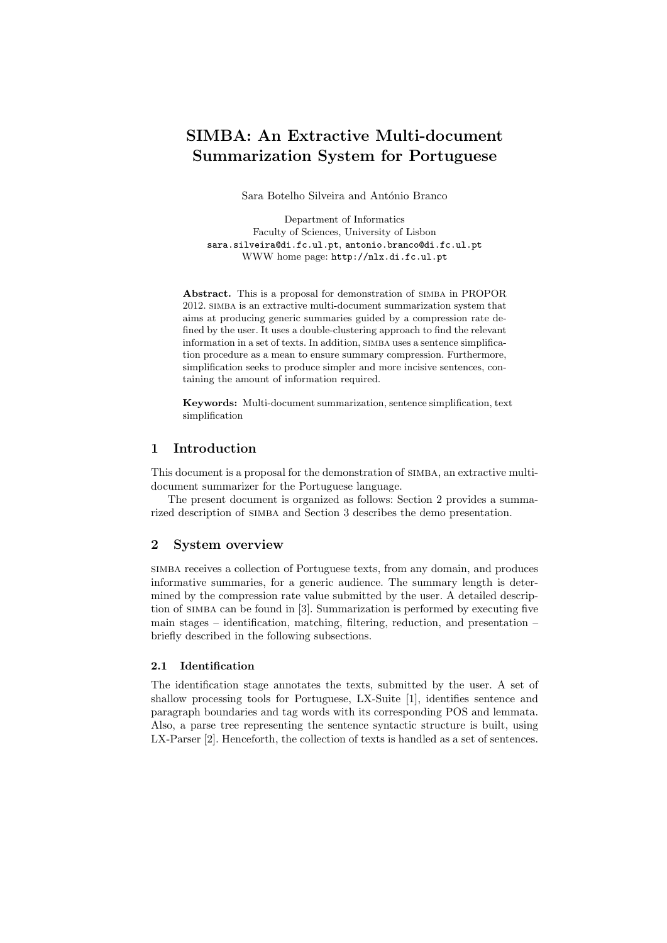# SIMBA: An Extractive Multi-document Summarization System for Portuguese

Sara Botelho Silveira and António Branco

Department of Informatics Faculty of Sciences, University of Lisbon sara.silveira@di.fc.ul.pt, antonio.branco@di.fc.ul.pt WWW home page: http://nlx.di.fc.ul.pt

Abstract. This is a proposal for demonstration of simba in PROPOR 2012. simba is an extractive multi-document summarization system that aims at producing generic summaries guided by a compression rate defined by the user. It uses a double-clustering approach to find the relevant information in a set of texts. In addition, SIMBA uses a sentence simplification procedure as a mean to ensure summary compression. Furthermore, simplification seeks to produce simpler and more incisive sentences, containing the amount of information required.

Keywords: Multi-document summarization, sentence simplification, text simplification

## 1 Introduction

This document is a proposal for the demonstration of simba, an extractive multidocument summarizer for the Portuguese language.

The present document is organized as follows: Section 2 provides a summarized description of simba and Section 3 describes the demo presentation.

## 2 System overview

simba receives a collection of Portuguese texts, from any domain, and produces informative summaries, for a generic audience. The summary length is determined by the compression rate value submitted by the user. A detailed description of simba can be found in [3]. Summarization is performed by executing five main stages – identification, matching, filtering, reduction, and presentation – briefly described in the following subsections.

## 2.1 Identification

The identification stage annotates the texts, submitted by the user. A set of shallow processing tools for Portuguese, LX-Suite [1], identifies sentence and paragraph boundaries and tag words with its corresponding POS and lemmata. Also, a parse tree representing the sentence syntactic structure is built, using LX-Parser [2]. Henceforth, the collection of texts is handled as a set of sentences.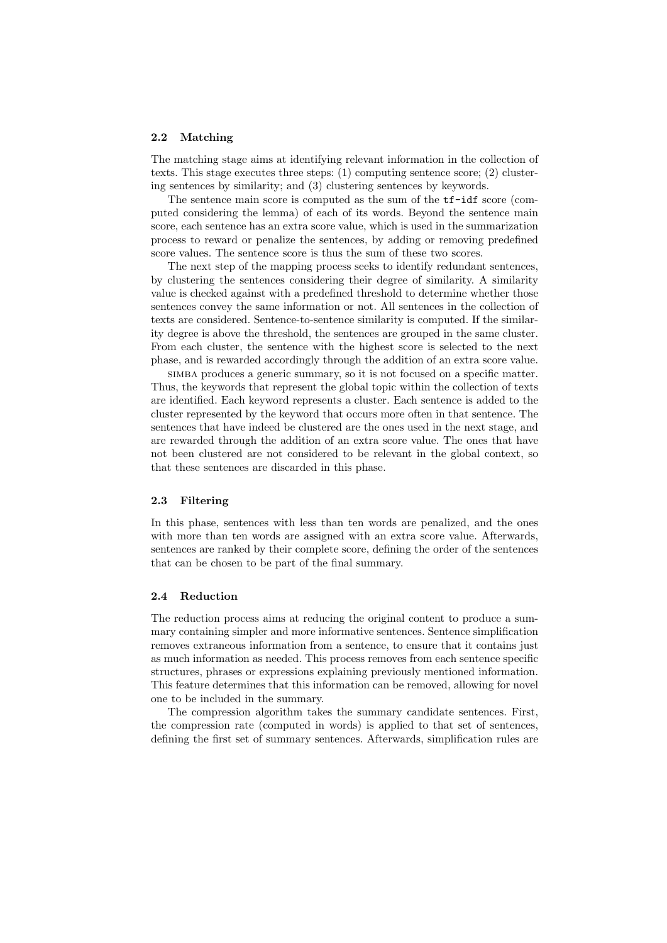#### 2.2 Matching

The matching stage aims at identifying relevant information in the collection of texts. This stage executes three steps: (1) computing sentence score; (2) clustering sentences by similarity; and (3) clustering sentences by keywords.

The sentence main score is computed as the sum of the tf-idf score (computed considering the lemma) of each of its words. Beyond the sentence main score, each sentence has an extra score value, which is used in the summarization process to reward or penalize the sentences, by adding or removing predefined score values. The sentence score is thus the sum of these two scores.

The next step of the mapping process seeks to identify redundant sentences, by clustering the sentences considering their degree of similarity. A similarity value is checked against with a predefined threshold to determine whether those sentences convey the same information or not. All sentences in the collection of texts are considered. Sentence-to-sentence similarity is computed. If the similarity degree is above the threshold, the sentences are grouped in the same cluster. From each cluster, the sentence with the highest score is selected to the next phase, and is rewarded accordingly through the addition of an extra score value.

simba produces a generic summary, so it is not focused on a specific matter. Thus, the keywords that represent the global topic within the collection of texts are identified. Each keyword represents a cluster. Each sentence is added to the cluster represented by the keyword that occurs more often in that sentence. The sentences that have indeed be clustered are the ones used in the next stage, and are rewarded through the addition of an extra score value. The ones that have not been clustered are not considered to be relevant in the global context, so that these sentences are discarded in this phase.

### 2.3 Filtering

In this phase, sentences with less than ten words are penalized, and the ones with more than ten words are assigned with an extra score value. Afterwards, sentences are ranked by their complete score, defining the order of the sentences that can be chosen to be part of the final summary.

#### 2.4 Reduction

The reduction process aims at reducing the original content to produce a summary containing simpler and more informative sentences. Sentence simplification removes extraneous information from a sentence, to ensure that it contains just as much information as needed. This process removes from each sentence specific structures, phrases or expressions explaining previously mentioned information. This feature determines that this information can be removed, allowing for novel one to be included in the summary.

The compression algorithm takes the summary candidate sentences. First, the compression rate (computed in words) is applied to that set of sentences, defining the first set of summary sentences. Afterwards, simplification rules are